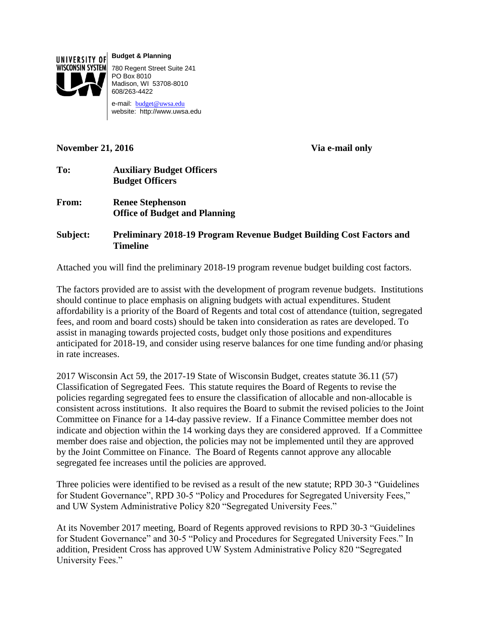

**Budget & Planning**

780 Regent Street Suite 241 PO Box 8010 Madison, WI 53708-8010 608/263-4422

e-mail: [budget@uwsa.edu](mailto:budget@uwsa.edu) website: http://www.uwsa.edu

## **November 21, 2016 Via e-mail only**

- **To: Auxiliary Budget Officers Budget Officers**
- **From: Renee Stephenson Office of Budget and Planning**

**Subject: Preliminary 2018-19 Program Revenue Budget Building Cost Factors and Timeline**

Attached you will find the preliminary 2018-19 program revenue budget building cost factors.

The factors provided are to assist with the development of program revenue budgets. Institutions should continue to place emphasis on aligning budgets with actual expenditures. Student affordability is a priority of the Board of Regents and total cost of attendance (tuition, segregated fees, and room and board costs) should be taken into consideration as rates are developed. To assist in managing towards projected costs, budget only those positions and expenditures anticipated for 2018-19, and consider using reserve balances for one time funding and/or phasing in rate increases.

2017 Wisconsin Act 59, the 2017-19 State of Wisconsin Budget, creates statute 36.11 (57) Classification of Segregated Fees. This statute requires the Board of Regents to revise the policies regarding segregated fees to ensure the classification of allocable and non-allocable is consistent across institutions. It also requires the Board to submit the revised policies to the Joint Committee on Finance for a 14-day passive review. If a Finance Committee member does not indicate and objection within the 14 working days they are considered approved. If a Committee member does raise and objection, the policies may not be implemented until they are approved by the Joint Committee on Finance. The Board of Regents cannot approve any allocable segregated fee increases until the policies are approved.

Three policies were identified to be revised as a result of the new statute; RPD 30-3 "Guidelines for Student Governance", RPD 30-5 "Policy and Procedures for Segregated University Fees," and UW System Administrative Policy 820 "Segregated University Fees."

At its November 2017 meeting, Board of Regents approved revisions to RPD 30-3 "Guidelines for Student Governance" and 30-5 "Policy and Procedures for Segregated University Fees." In addition, President Cross has approved UW System Administrative Policy 820 "Segregated University Fees."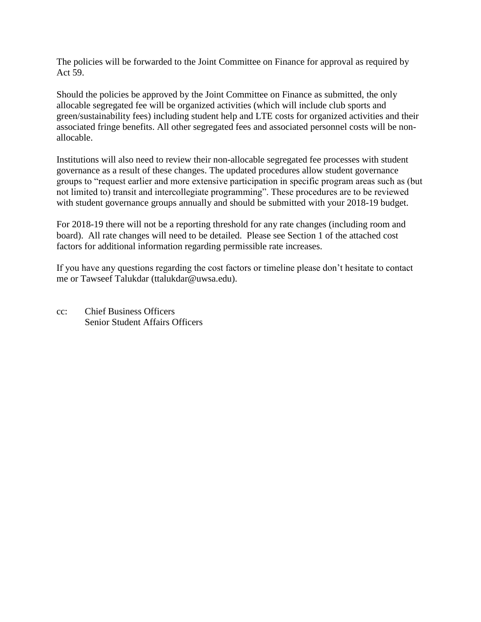The policies will be forwarded to the Joint Committee on Finance for approval as required by Act 59.

Should the policies be approved by the Joint Committee on Finance as submitted, the only allocable segregated fee will be organized activities (which will include club sports and green/sustainability fees) including student help and LTE costs for organized activities and their associated fringe benefits. All other segregated fees and associated personnel costs will be nonallocable.

Institutions will also need to review their non-allocable segregated fee processes with student governance as a result of these changes. The updated procedures allow student governance groups to "request earlier and more extensive participation in specific program areas such as (but not limited to) transit and intercollegiate programming". These procedures are to be reviewed with student governance groups annually and should be submitted with your 2018-19 budget.

For 2018-19 there will not be a reporting threshold for any rate changes (including room and board). All rate changes will need to be detailed. Please see Section 1 of the attached cost factors for additional information regarding permissible rate increases.

If you have any questions regarding the cost factors or timeline please don't hesitate to contact me or Tawseef Talukdar (ttalukdar@uwsa.edu).

cc: Chief Business Officers Senior Student Affairs Officers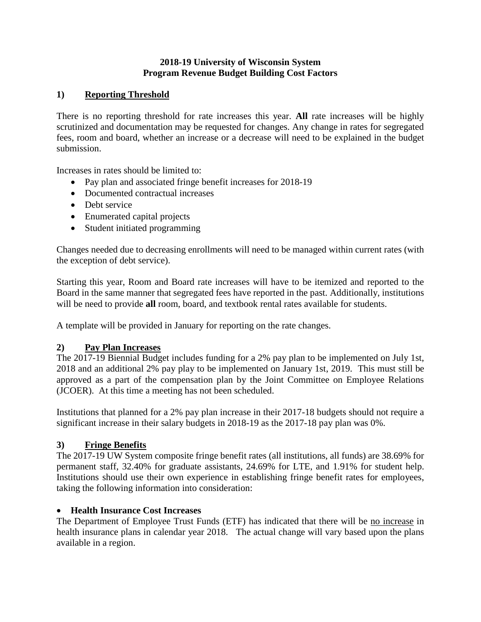## **2018-19 University of Wisconsin System Program Revenue Budget Building Cost Factors**

# **1) Reporting Threshold**

There is no reporting threshold for rate increases this year. **All** rate increases will be highly scrutinized and documentation may be requested for changes. Any change in rates for segregated fees, room and board, whether an increase or a decrease will need to be explained in the budget submission.

Increases in rates should be limited to:

- Pay plan and associated fringe benefit increases for 2018-19
- Documented contractual increases
- Debt service
- Enumerated capital projects
- Student initiated programming

Changes needed due to decreasing enrollments will need to be managed within current rates (with the exception of debt service).

Starting this year, Room and Board rate increases will have to be itemized and reported to the Board in the same manner that segregated fees have reported in the past. Additionally, institutions will be need to provide **all** room, board, and textbook rental rates available for students.

A template will be provided in January for reporting on the rate changes.

## **2) Pay Plan Increases**

The 2017-19 Biennial Budget includes funding for a 2% pay plan to be implemented on July 1st, 2018 and an additional 2% pay play to be implemented on January 1st, 2019. This must still be approved as a part of the compensation plan by the Joint Committee on Employee Relations (JCOER). At this time a meeting has not been scheduled.

Institutions that planned for a 2% pay plan increase in their 2017-18 budgets should not require a significant increase in their salary budgets in 2018-19 as the 2017-18 pay plan was 0%.

## **3) Fringe Benefits**

The 2017-19 UW System composite fringe benefit rates (all institutions, all funds) are 38.69% for permanent staff, 32.40% for graduate assistants, 24.69% for LTE, and 1.91% for student help. Institutions should use their own experience in establishing fringe benefit rates for employees, taking the following information into consideration:

# **Health Insurance Cost Increases**

The Department of Employee Trust Funds (ETF) has indicated that there will be no increase in health insurance plans in calendar year 2018. The actual change will vary based upon the plans available in a region.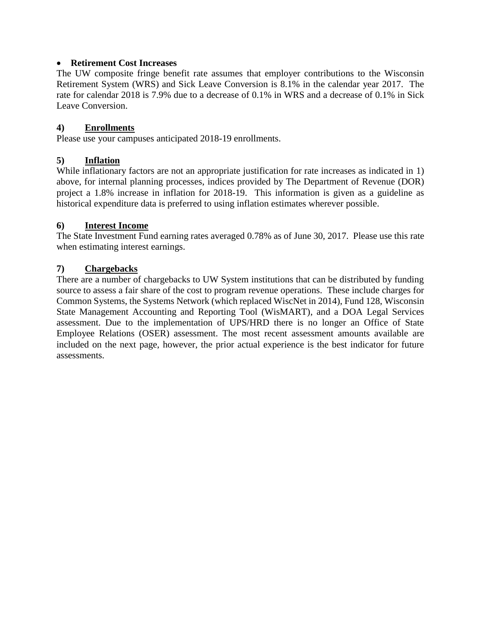#### **Retirement Cost Increases**

The UW composite fringe benefit rate assumes that employer contributions to the Wisconsin Retirement System (WRS) and Sick Leave Conversion is 8.1% in the calendar year 2017. The rate for calendar 2018 is 7.9% due to a decrease of 0.1% in WRS and a decrease of 0.1% in Sick Leave Conversion.

#### **4) Enrollments**

Please use your campuses anticipated 2018-19 enrollments.

## **5) Inflation**

While inflationary factors are not an appropriate justification for rate increases as indicated in 1) above, for internal planning processes, indices provided by The Department of Revenue (DOR) project a 1.8% increase in inflation for 2018-19. This information is given as a guideline as historical expenditure data is preferred to using inflation estimates wherever possible.

#### **6) Interest Income**

The State Investment Fund earning rates averaged 0.78% as of June 30, 2017. Please use this rate when estimating interest earnings.

#### **7) Chargebacks**

There are a number of chargebacks to UW System institutions that can be distributed by funding source to assess a fair share of the cost to program revenue operations. These include charges for Common Systems, the Systems Network (which replaced WiscNet in 2014), Fund 128, Wisconsin State Management Accounting and Reporting Tool (WisMART), and a DOA Legal Services assessment. Due to the implementation of UPS/HRD there is no longer an Office of State Employee Relations (OSER) assessment. The most recent assessment amounts available are included on the next page, however, the prior actual experience is the best indicator for future assessments.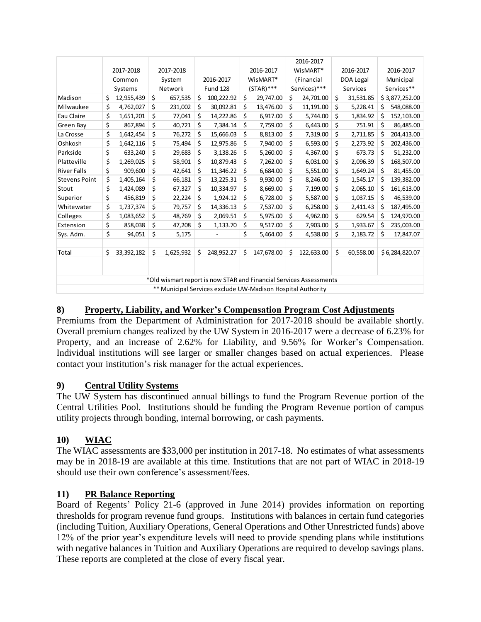|                                                             |    |                        |    |                                                                    |          |                 |           |              |            | 2016-2017    |           |           |            |                |
|-------------------------------------------------------------|----|------------------------|----|--------------------------------------------------------------------|----------|-----------------|-----------|--------------|------------|--------------|-----------|-----------|------------|----------------|
|                                                             |    | 2017-2018<br>2017-2018 |    | 2016-2017                                                          | WisMART* |                 | 2016-2017 |              | 2016-2017  |              |           |           |            |                |
|                                                             |    | Common                 |    | System                                                             |          | 2016-2017       | WisMART*  |              | (Financial |              | DOA Legal |           | Municipal  |                |
|                                                             |    | Systems                |    | Network                                                            |          | <b>Fund 128</b> |           | $(STAR)$ *** |            | Services)*** | Services  |           | Services** |                |
| Madison                                                     | \$ | 12,955,439             | \$ | 657,535                                                            | \$       | 100,222.92      | \$        | 29,747.00    | \$         | 24,701.00    | \$        | 31,531.85 |            | \$3,877,252.00 |
| Milwaukee                                                   | \$ | 4,762,027              | \$ | 231,002                                                            | \$       | 30,092.81       | \$        | 13,476.00    | \$         | 11,191.00    | \$        | 5,228.41  | \$         | 548,088.00     |
| Eau Claire                                                  | \$ | 1,651,201              | \$ | 77,041                                                             | \$       | 14,222.86       | \$        | 6,917.00     | \$         | 5,744.00     | \$        | 1,834.92  | \$         | 152,103.00     |
| Green Bay                                                   | \$ | 867,894                | \$ | 40,721                                                             | \$       | 7,384.14        | \$        | 7,759.00     | \$         | 6,443.00     | \$        | 751.91    | Ś          | 86,485.00      |
| La Crosse                                                   | \$ | 1,642,454              | \$ | 76,272                                                             | \$       | 15,666.03       | \$        | 8,813.00     | \$         | 7,319.00     | \$        | 2,711.85  | \$         | 204,413.00     |
| Oshkosh                                                     | \$ | 1,642,116              | \$ | 75,494                                                             | \$       | 12,975.86       | \$        | 7,940.00     | \$         | 6,593.00     | \$        | 2,273.92  | \$         | 202,436.00     |
| Parkside                                                    | \$ | 633,240                | \$ | 29,683                                                             | \$       | 3,138.26        | \$        | 5,260.00     | \$         | 4,367.00     | \$        | 673.73    | \$         | 51,232.00      |
| Platteville                                                 | \$ | 1,269,025              | \$ | 58,901                                                             | \$       | 10,879.43       | \$        | 7,262.00     | \$         | 6,031.00     | \$        | 2,096.39  | \$         | 168,507.00     |
| <b>River Falls</b>                                          | \$ | 909,600                | \$ | 42,641                                                             | \$       | 11,346.22       | \$        | 6,684.00     | \$         | 5,551.00     | \$        | 1,649.24  | \$         | 81,455.00      |
| <b>Stevens Point</b>                                        | \$ | 1,405,164              | \$ | 66,181                                                             | Ś        | 13,225.31       | \$        | 9,930.00     | \$         | 8,246.00     | \$        | 1,545.17  | \$         | 139,382.00     |
| Stout                                                       | \$ | 1,424,089              | \$ | 67,327                                                             | \$       | 10,334.97       | \$        | 8,669.00     | \$         | 7,199.00     | \$        | 2,065.10  | \$         | 161,613.00     |
| Superior                                                    | \$ | 456,819                | \$ | 22,224                                                             | \$       | 1,924.12        | \$        | 6,728.00     | \$         | 5,587.00     | \$        | 1,037.15  | \$         | 46,539.00      |
| Whitewater                                                  | \$ | 1,737,374              | \$ | 79,757                                                             | \$       | 14,336.13       | \$        | 7,537.00     | \$         | 6,258.00     | \$        | 2,411.43  | \$         | 187,495.00     |
| Colleges                                                    | \$ | 1,083,652              | \$ | 48,769                                                             | \$       | 2,069.51        | \$        | 5,975.00     | \$         | 4,962.00     | \$        | 629.54    | \$         | 124,970.00     |
| Extension                                                   | \$ | 858,038                | \$ | 47,208                                                             | Ś.       | 1,133.70        | \$        | 9,517.00     | \$         | 7,903.00     | \$        | 1,933.67  | \$         | 235,003.00     |
| Sys. Adm.                                                   | \$ | 94,051                 | \$ | 5,175                                                              |          |                 | \$        | 5,464.00     | \$         | 4,538.00     | \$        | 2,183.72  | Ś          | 17,847.07      |
| Total                                                       | \$ | 33, 392, 182           | \$ | 1,625,932                                                          | \$       | 248,952.27      | \$        | 147,678.00   | Ś          | 122,633.00   | \$        | 60,558.00 |            | \$6,284,820.07 |
|                                                             |    |                        |    |                                                                    |          |                 |           |              |            |              |           |           |            |                |
|                                                             |    |                        |    | *Old wismart report is now STAR and Financial Services Assessments |          |                 |           |              |            |              |           |           |            |                |
| ** Municipal Services exclude UW-Madison Hospital Authority |    |                        |    |                                                                    |          |                 |           |              |            |              |           |           |            |                |

## **8) Property, Liability, and Worker's Compensation Program Cost Adjustments**

Premiums from the Department of Administration for 2017-2018 should be available shortly. Overall premium changes realized by the UW System in 2016-2017 were a decrease of 6.23% for Property, and an increase of 2.62% for Liability, and 9.56% for Worker's Compensation. Individual institutions will see larger or smaller changes based on actual experiences. Please contact your institution's risk manager for the actual experiences.

## **9) Central Utility Systems**

The UW System has discontinued annual billings to fund the Program Revenue portion of the Central Utilities Pool. Institutions should be funding the Program Revenue portion of campus utility projects through bonding, internal borrowing, or cash payments.

## **10) WIAC**

The WIAC assessments are \$33,000 per institution in 2017-18. No estimates of what assessments may be in 2018-19 are available at this time. Institutions that are not part of WIAC in 2018-19 should use their own conference's assessment/fees.

#### **11) PR Balance Reporting**

Board of Regents' Policy 21-6 (approved in June 2014) provides information on reporting thresholds for program revenue fund groups. Institutions with balances in certain fund categories (including Tuition, Auxiliary Operations, General Operations and Other Unrestricted funds) above 12% of the prior year's expenditure levels will need to provide spending plans while institutions with negative balances in Tuition and Auxiliary Operations are required to develop savings plans. These reports are completed at the close of every fiscal year.